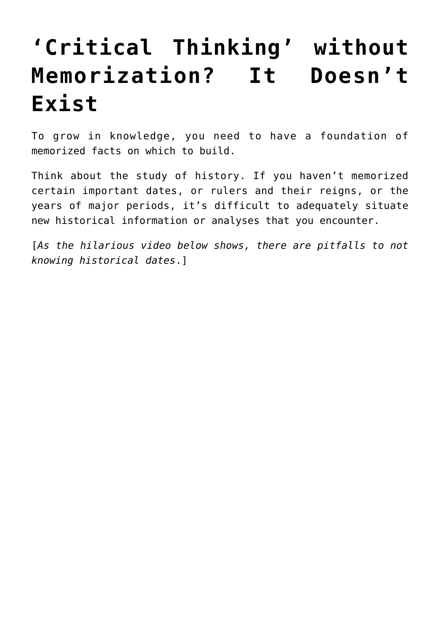## **['Critical Thinking' without](https://intellectualtakeout.org/2016/06/critical-thinking-without-memorization-it-doesnt-exist/) [Memorization? It Doesn't](https://intellectualtakeout.org/2016/06/critical-thinking-without-memorization-it-doesnt-exist/) [Exist](https://intellectualtakeout.org/2016/06/critical-thinking-without-memorization-it-doesnt-exist/)**

To grow in knowledge, you need to have a foundation of memorized facts on which to build.

Think about the study of history. If you haven't memorized certain important dates, or rulers and their reigns, or the years of major periods, it's difficult to adequately situate new historical information or analyses that you encounter.

[*As the hilarious video below shows, there are pitfalls to not knowing historical dates*.]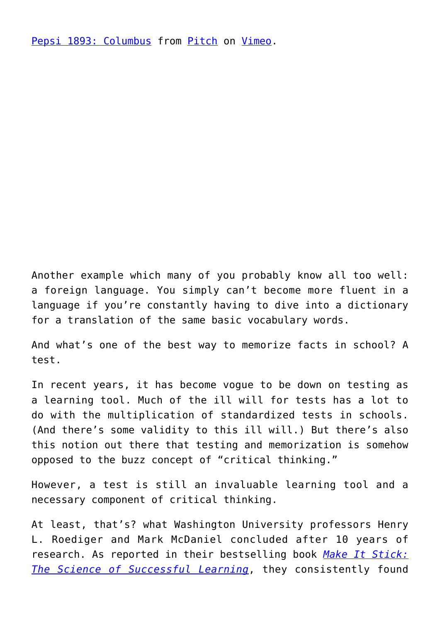[Pepsi 1893: Columbus](https://vimeo.com/162460342) from [Pitch](https://vimeo.com/thepitchagency) on [Vimeo.](https://vimeo.com)

Another example which many of you probably know all too well: a foreign language. You simply can't become more fluent in a language if you're constantly having to dive into a dictionary for a translation of the same basic vocabulary words.

And what's one of the best way to memorize facts in school? A test.

In recent years, it has become vogue to be down on testing as a learning tool. Much of the ill will for tests has a lot to do with the multiplication of standardized tests in schools. (And there's some validity to this ill will.) But there's also this notion out there that testing and memorization is somehow opposed to the buzz concept of "critical thinking."

However, a test is still an invaluable learning tool and a necessary component of critical thinking.

At least, that's? what Washington University professors Henry L. Roediger and Mark McDaniel concluded after 10 years of research. As reported in their bestselling book *[Make It Stick:](https://www.intellectualtakeout.org/blog/7-habits-highly-effective-learners) [The Science of Successful Learning](https://www.intellectualtakeout.org/blog/7-habits-highly-effective-learners)*, they consistently found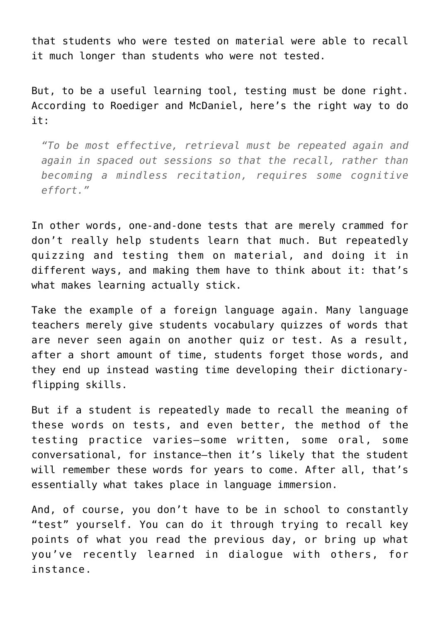that students who were tested on material were able to recall it much longer than students who were not tested.

But, to be a useful learning tool, testing must be done right. According to Roediger and McDaniel, here's the right way to do it:

*"To be most effective, retrieval must be repeated again and again in spaced out sessions so that the recall, rather than becoming a mindless recitation, requires some cognitive effort."*

In other words, one-and-done tests that are merely crammed for don't really help students learn that much. But repeatedly quizzing and testing them on material, and doing it in different ways, and making them have to think about it: that's what makes learning actually stick.

Take the example of a foreign language again. Many language teachers merely give students vocabulary quizzes of words that are never seen again on another quiz or test. As a result, after a short amount of time, students forget those words, and they end up instead wasting time developing their dictionaryflipping skills.

But if a student is repeatedly made to recall the meaning of these words on tests, and even better, the method of the testing practice varies—some written, some oral, some conversational, for instance—then it's likely that the student will remember these words for years to come. After all, that's essentially what takes place in language immersion.

And, of course, you don't have to be in school to constantly "test" yourself. You can do it through trying to recall key points of what you read the previous day, or bring up what you've recently learned in dialogue with others, for instance.